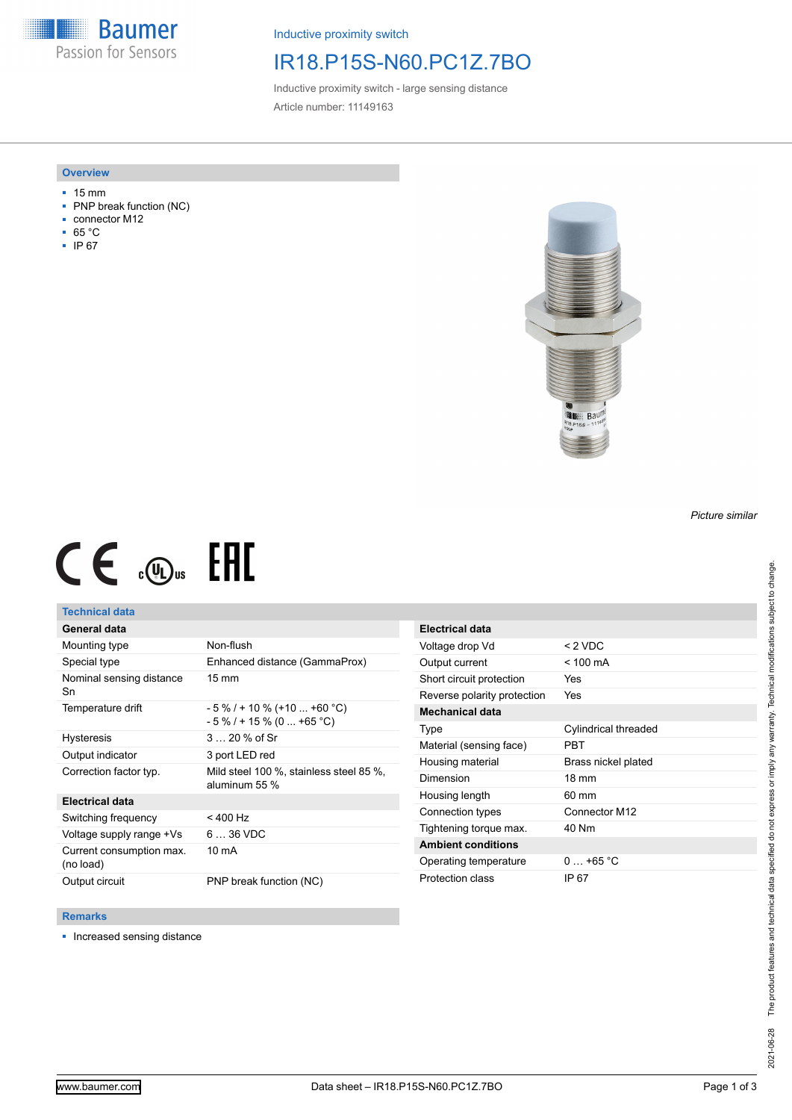**Baumer** Passion for Sensors

Inductive proximity switch

## IR18.P15S-N60.PC1Z.7BO

Inductive proximity switch - large sensing distance Article number: 11149163

### **Overview**

- 15 mm
- PNP break function (NC)
- connector M12
- 65 °C
- IP 67



# $CE \mathcal{L}$  (Dus FHI

## **Technical data**

## **General data**

| Mounting type                         | Non-flush                                                    |
|---------------------------------------|--------------------------------------------------------------|
| Special type                          | Enhanced distance (GammaProx)                                |
| Nominal sensing distance<br>Sn        | $15 \text{ mm}$                                              |
| Temperature drift                     | $-5\%$ / + 10 % (+10  +60 °C)<br>$-5\%$ / + 15 % (0  +65 °C) |
| <b>Hysteresis</b>                     | $320%$ of Sr                                                 |
| Output indicator                      | 3 port LED red                                               |
| Correction factor typ.                | Mild steel 100 %, stainless steel 85 %,<br>aluminum 55 %     |
| <b>Electrical data</b>                |                                                              |
| Switching frequency                   | $< 400$ Hz                                                   |
| Voltage supply range +Vs              | $636$ VDC                                                    |
| Current consumption max.<br>(no load) | 10 mA                                                        |
| Output circuit                        | PNP break function (NC)                                      |

| <b>Electrical data</b>      |                      |
|-----------------------------|----------------------|
| Voltage drop Vd             | $< 2$ VDC            |
| Output current              | $< 100 \text{ mA}$   |
| Short circuit protection    | Yes                  |
| Reverse polarity protection | Yes                  |
| <b>Mechanical data</b>      |                      |
| Type                        | Cylindrical threaded |
| Material (sensing face)     | PRT                  |
| Housing material            | Brass nickel plated  |
| Dimension                   | $18 \text{ mm}$      |
| Housing length              | 60 mm                |
| Connection types            | Connector M12        |
| Tightening torque max.      | 40 Nm                |
| <b>Ambient conditions</b>   |                      |
| Operating temperature       | $0.165^{\circ}$ C    |
| Protection class            | IP 67                |

#### **Remarks**

■ Increased sensing distance

*Picture similar*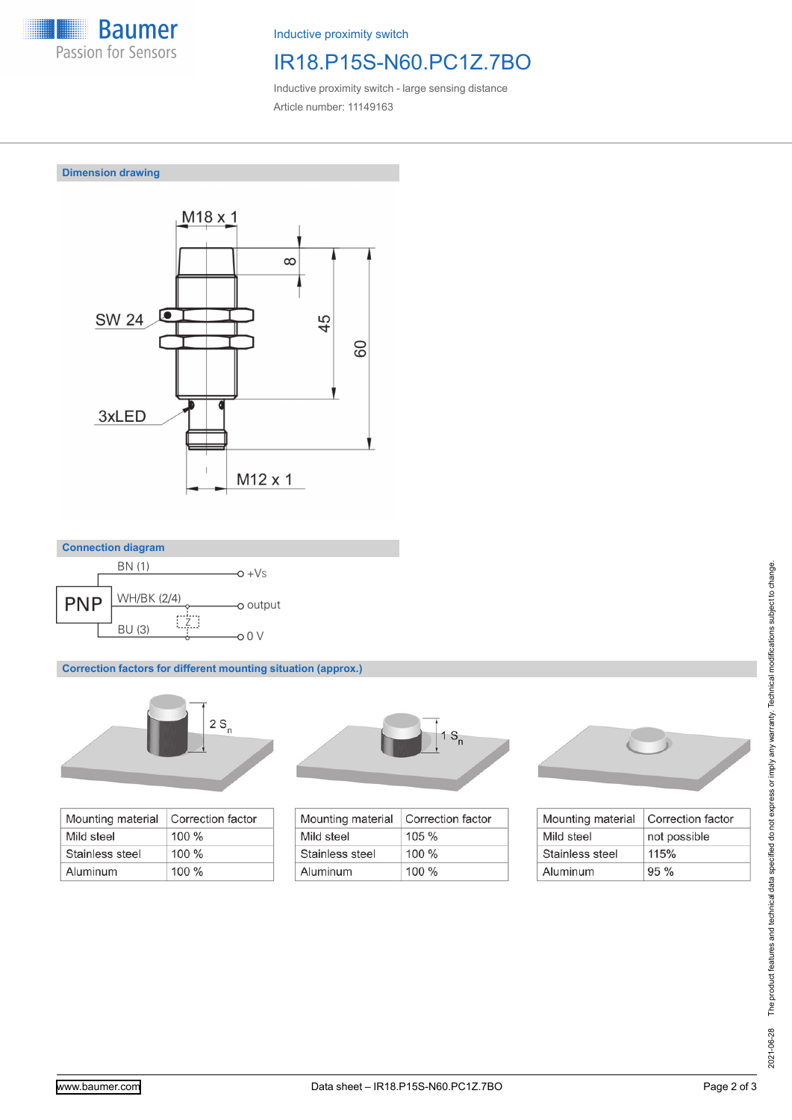

Inductive proximity switch

# IR18.P15S-N60.PC1Z.7BO

Inductive proximity switch - large sensing distance Article number: 11149163

**Dimension drawing**





**Correction factors for different mounting situation (approx.)**



| Mounting material | Correction factor |
|-------------------|-------------------|
| Mild steel        | $100\%$           |
| Stainless steel   | $100 \%$          |
| Aluminum          | $100\%$           |



| Correction factor |
|-------------------|
| $105 \%$          |
| $100\%$           |
| $100\%$           |
|                   |



| Mounting material | Correction factor |
|-------------------|-------------------|
| Mild steel        | not possible      |
| Stainless steel   | 115%              |
| Aluminum          | 95%               |